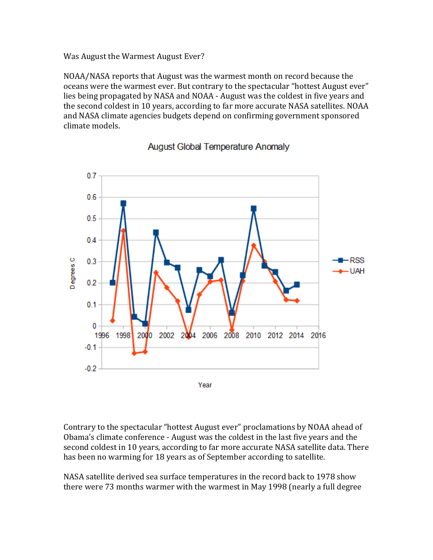Was August the Warmest August Ever?

NOAA/NASA reports that August was the warmest month on record because the oceans were the warmest ever. But contrary to the spectacular "hottest August ever" lies being propagated by NASA and NOAA - August was the coldest in five years and the second coldest in 10 years, according to far more accurate NASA satellites. NOAA and NASA climate agencies budgets depend on confirming government sponsored climate models.



## **August Global Temperature Anomaly**

Contrary to the spectacular "hottest August ever" proclamations by NOAA ahead of Obama's climate conference - August was the coldest in the last five years and the second coldest in 10 years, according to far more accurate NASA satellite data. There has been no warming for 18 years as of September according to satellite.

NASA satellite derived sea surface temperatures in the record back to 1978 show there were 73 months warmer with the warmest in May 1998 (nearly a full degree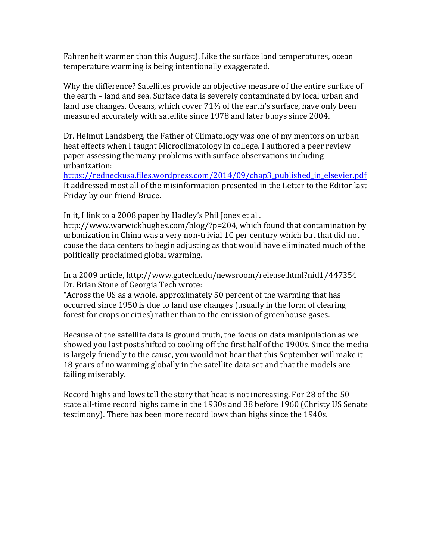Fahrenheit warmer than this August). Like the surface land temperatures, ocean temperature warming is being intentionally exaggerated.

Why the difference? Satellites provide an objective measure of the entire surface of the earth - land and sea. Surface data is severely contaminated by local urban and land use changes. Oceans, which cover 71% of the earth's surface, have only been measured accurately with satellite since 1978 and later buoys since 2004.

Dr. Helmut Landsberg, the Father of Climatology was one of my mentors on urban heat effects when I taught Microclimatology in college. I authored a peer review paper assessing the many problems with surface observations including urbanization:

https://redneckusa.files.wordpress.com/2014/09/chap3 published in elsevier.pdf It addressed most all of the misinformation presented in the Letter to the Editor last Friday by our friend Bruce.

In it, I link to a 2008 paper by Hadley's Phil Jones et al.

http://www.warwickhughes.com/blog/?p=204, which found that contamination by urbanization in China was a very non-trivial 1C per century which but that did not cause the data centers to begin adjusting as that would have eliminated much of the politically proclaimed global warming.

In a 2009 article, http://www.gatech.edu/newsroom/release.html?nid1/447354 Dr. Brian Stone of Georgia Tech wrote:

"Across the US as a whole, approximately 50 percent of the warming that has occurred since 1950 is due to land use changes (usually in the form of clearing forest for crops or cities) rather than to the emission of greenhouse gases.

Because of the satellite data is ground truth, the focus on data manipulation as we showed you last post shifted to cooling off the first half of the 1900s. Since the media is largely friendly to the cause, you would not hear that this September will make it 18 years of no warming globally in the satellite data set and that the models are failing miserably.

Record highs and lows tell the story that heat is not increasing. For 28 of the 50 state all-time record highs came in the 1930s and 38 before 1960 (Christy US Senate testimony). There has been more record lows than highs since the 1940s.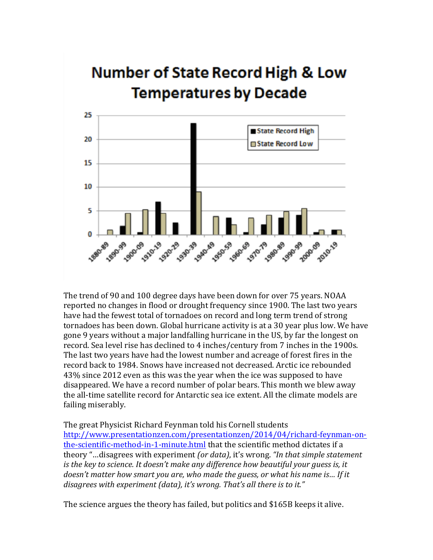## **Number of State Record High & Low Temperatures by Decade**



The trend of 90 and 100 degree days have been down for over 75 years. NOAA reported no changes in flood or drought frequency since 1900. The last two years have had the fewest total of tornadoes on record and long term trend of strong tornadoes has been down. Global hurricane activity is at a 30 year plus low. We have gone 9 years without a major landfalling hurricane in the US, by far the longest on record. Sea level rise has declined to 4 inches/century from 7 inches in the 1900s. The last two years have had the lowest number and acreage of forest fires in the record back to 1984. Snows have increased not decreased. Arctic ice rebounded  $43\%$  since 2012 even as this was the year when the ice was supposed to have disappeared. We have a record number of polar bears. This month we blew away the all-time satellite record for Antarctic sea ice extent. All the climate models are failing miserably.

The great Physicist Richard Feynman told his Cornell students http://www.presentationzen.com/presentationzen/2014/04/richard-feynman-onthe-scientific-method-in-1-minute.html that the scientific method dictates if a theory "...disagrees with experiment *(or data)*, it's wrong. "In that simple statement is the key to science. It doesn't make any difference how beautiful your guess is, it doesn't matter how smart you are, who made the guess, or what his name is... If it *disagrees with experiment (data), it's wrong. That's all there is to it."* 

The science argues the theory has failed, but politics and \$165B keeps it alive.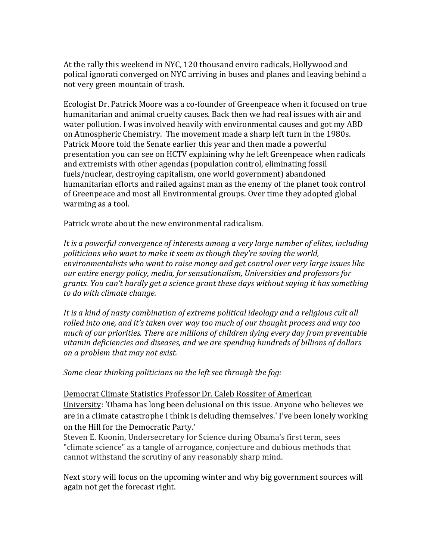At the rally this weekend in NYC, 120 thousand enviro radicals, Hollywood and polical ignorati converged on NYC arriving in buses and planes and leaving behind a not very green mountain of trash.

Ecologist Dr. Patrick Moore was a co-founder of Greenpeace when it focused on true humanitarian and animal cruelty causes. Back then we had real issues with air and water pollution. I was involved heavily with environmental causes and got my ABD on Atmospheric Chemistry. The movement made a sharp left turn in the 1980s. Patrick Moore told the Senate earlier this year and then made a powerful presentation you can see on HCTV explaining why he left Greenpeace when radicals and extremists with other agendas (population control, eliminating fossil fuels/nuclear, destroying capitalism, one world government) abandoned humanitarian efforts and railed against man as the enemy of the planet took control of Greenpeace and most all Environmental groups. Over time they adopted global warming as a tool.

Patrick wrote about the new environmental radicalism.

It is a powerful convergence of interests among a very large number of elites, including politicians who want to make it seem as though they're saving the world, environmentalists who want to raise money and get control over very large issues like *our\$entire\$energy policy,\$media,\$for\$sensationalism,\$Universities\$and\$professors\$for\$* grants. You can't hardly get a science grant these days without saying it has something *to\$do\$with\$climate\$change.*

It is a kind of nasty combination of extreme political ideology and a religious cult all rolled into one, and it's taken over way too much of our thought process and way too much of our priorities. There are millions of children dying every day from preventable *vitamin\$deficiencies\$and\$diseases,\$and\$we\$are\$spending\$hundreds\$of\$billions\$of\$dollars\$ on a problem that may not exist.* 

*Some clear thinking politicians on the left see through the fog:* 

Democrat Climate Statistics Professor Dr. Caleb Rossiter of American University: 'Obama has long been delusional on this issue. Anyone who believes we are in a climate catastrophe I think is deluding themselves.' I've been lonely working on the Hill for the Democratic Party.'

Steven E. Koonin, Undersecretary for Science during Obama's first term, sees "climate science" as a tangle of arrogance, conjecture and dubious methods that cannot withstand the scrutiny of any reasonably sharp mind.

Next story will focus on the upcoming winter and why big government sources will again not get the forecast right.